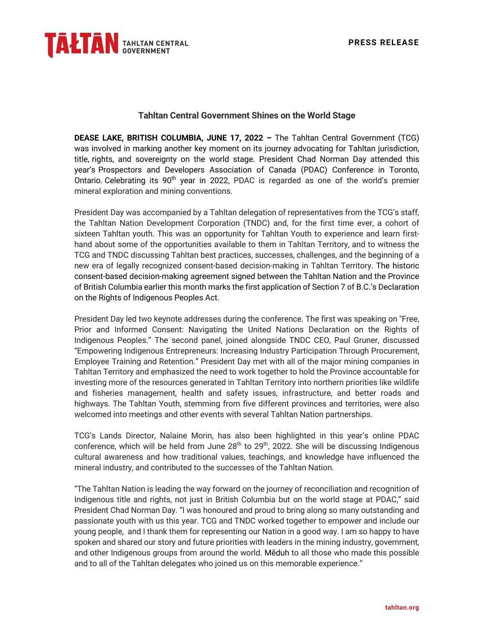

## **Tahltan Central Government Shines on the World Stage**

**DEASE LAKE, BRITISH COLUMBIA, JUNE 17, 2022 –** The Tahltan Central Government (TCG) was involved in marking another key moment on its journey advocating for Tahltan jurisdiction, title, rights, and sovereignty on the world stage. President Chad Norman Day attended this year's Prospectors and Developers Association of Canada (PDAC) Conference in Toronto, Ontario. Celebrating its  $90<sup>th</sup>$  year in 2022, PDAC is regarded as one of the world's premier mineral exploration and mining conventions.

President Day was accompanied by a Tahltan delegation of representatives from the TCG's staff, the Tahltan Nation Development Corporation (TNDC) and, for the first time ever, a cohort of sixteen Tahltan youth. This was an opportunity for Tahltan Youth to experience and learn firsthand about some of the opportunities available to them in Tahltan Territory, and to witness the TCG and TNDC discussing Tahltan best practices, successes, challenges, and the beginning of a new era of legally recognized consent-based decision-making in Tahltan Territory. The historic consent-based decision-making agreement signed between the Tahltan Nation and the Province of British Columbia earlier this month marks the first application of Section 7 of B.C.'s Declaration on the Rights of Indigenous Peoples Act.

President Day led two keynote addresses during the conference. The first was speaking on "Free, Prior and Informed Consent: Navigating the United Nations Declaration on the Rights of Indigenous Peoples." The second panel, joined alongside TNDC CEO, Paul Gruner, discussed "Empowering Indigenous Entrepreneurs: Increasing Industry Participation Through Procurement, Employee Training and Retention." President Day met with all of the major mining companies in Tahltan Territory and emphasized the need to work together to hold the Province accountable for investing more of the resources generated in Tahltan Territory into northern priorities like wildlife and fisheries management, health and safety issues, infrastructure, and better roads and highways. The Tahltan Youth, stemming from five different provinces and territories, were also welcomed into meetings and other events with several Tahltan Nation partnerships.

TCG's Lands Director, Nalaine Morin, has also been highlighted in this year's online PDAC conference, which will be held from June 28<sup>th</sup> to 29<sup>th</sup>, 2022. She will be discussing Indigenous cultural awareness and how traditional values, teachings, and knowledge have influenced the mineral industry, and contributed to the successes of the Tahltan Nation.

"The Tahltan Nation is leading the way forward on the journey of reconciliation and recognition of Indigenous title and rights, not just in British Columbia but on the world stage at PDAC," said President Chad Norman Day. "I was honoured and proud to bring along so many outstanding and passionate youth with us this year. TCG and TNDC worked together to empower and include our young people, and I thank them for representing our Nation in a good way. I am so happy to have spoken and shared our story and future priorities with leaders in the mining industry, government, and other Indigenous groups from around the world. Mēduh to all those who made this possible and to all of the Tahltan delegates who joined us on this memorable experience."